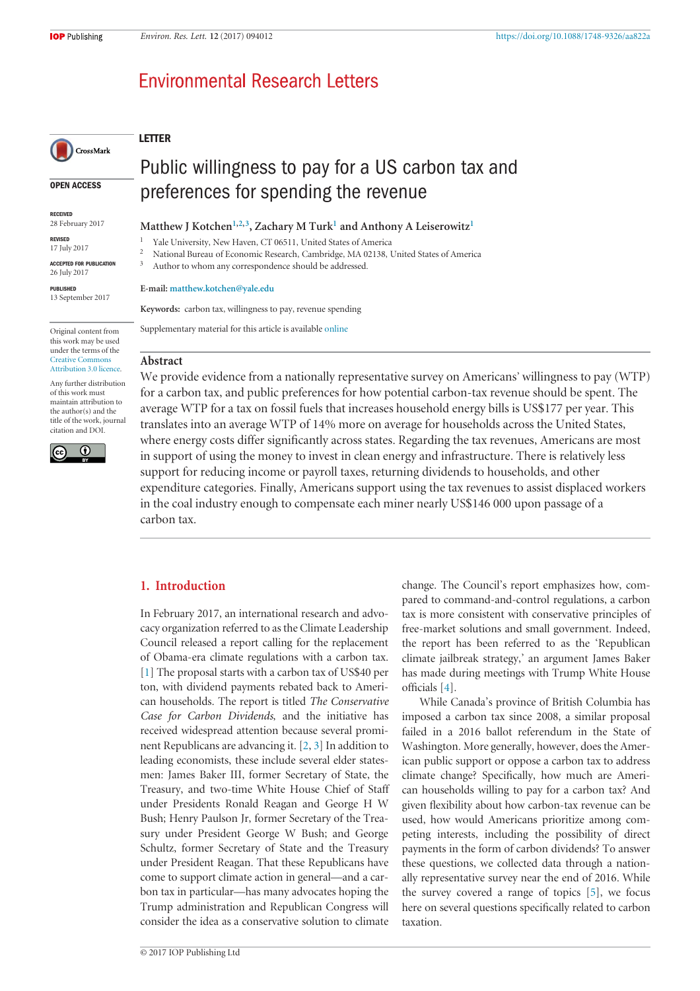# **Environmental Research Letters**

# **LETTER**

**OPEN ACCESS**

CrossMark

**RECEIVED** 28 February 2017

**REVISED** 17 July 2017

**ACCEPTED FOR PUBLICATION** 26 July 2017

**PUBLISHED** 13 September 2017

Original content from this work may be used under the terms of the [Creative Commons](http://creativecommons.org/licenses/by/3.0) Attribution 3.0 licence.

Any further distribution of this work must maintain attribution to the author(s) and the title of the work, journal citation and DOI.



Public willingness to pay for a US carbon tax and preferences for spending the revenue

Matthew J Kotchen<sup>1,2,3</sup>, Zachary M Turk<sup>1</sup> and Anthony A Leiserowitz<sup>1</sup>

<sup>1</sup> Yale University, New Haven, CT 06511, United States of America<br><sup>2</sup> National Bureau of Economic Because Combridge, MA 02138, I

<sup>2</sup> National Bureau of Economic Research, Cambridge, MA 02138, United States of America

Author to whom any correspondence should be addressed.

#### **E-mail: [matthew.kotchen@yale.edu](mailto:matthew.kotchen@yale.edu)**

**Keywords:** carbon tax, willingness to pay, revenue spending

Supplementary material for this article is available [online](https://doi.org/10.1088/1748-9326/aa822a)

#### **Abstract**

We provide evidence from a nationally representative survey on Americans' willingness to pay (WTP) for a carbon tax, and public preferences for how potential carbon-tax revenue should be spent. The average WTP for a tax on fossil fuels that increases household energy bills is US\$177 per year. This translates into an average WTP of 14% more on average for households across the United States, where energy costs differ significantly across states. Regarding the tax revenues, Americans are most in support of using the money to invest in clean energy and infrastructure. There is relatively less support for reducing income or payroll taxes, returning dividends to households, and other expenditure categories. Finally, Americans support using the tax revenues to assist displaced workers in the coal industry enough to compensate each miner nearly US\$146 000 upon passage of a carbon tax.

# **1. Introduction**

In February 2017, an international research and advocacy organization referred to as the Climate Leadership Council released a report calling for the replacement of Obama-era climate regulations with a carbon tax. [1] The proposal starts with a carbon tax of US\$40 per ton, with dividend payments rebated back to American households. The report is titled *The Conservative Case for Carbon Dividends*, and the initiative has received widespread attention because several prominent Republicans are advancing it. [2, 3] In addition to leading economists, these include several elder statesmen: James Baker III, former Secretary of State, the Treasury, and two-time White House Chief of Staff under Presidents Ronald Reagan and George H W Bush; Henry Paulson Jr, former Secretary of the Treasury under President George W Bush; and George Schultz, former Secretary of State and the Treasury under President Reagan. That these Republicans have come to support climate action in general—and a carbon tax in particular—has many advocates hoping the Trump administration and Republican Congress will consider the idea as a conservative solution to climate

change. The Council's report emphasizes how, compared to command-and-control regulations, a carbon tax is more consistent with conservative principles of free-market solutions and small government. Indeed, the report has been referred to as the 'Republican climate jailbreak strategy,' an argument James Baker has made during meetings with Trump White House officials [4].

While Canada's province of British Columbia has imposed a carbon tax since 2008, a similar proposal failed in a 2016 ballot referendum in the State of Washington. More generally, however, does the American public support or oppose a carbon tax to address climate change? Specifically, how much are American households willing to pay for a carbon tax? And given flexibility about how carbon-tax revenue can be used, how would Americans prioritize among competing interests, including the possibility of direct payments in the form of carbon dividends? To answer these questions, we collected data through a nationally representative survey near the end of 2016. While the survey covered a range of topics [5], we focus here on several questions specifically related to carbon taxation.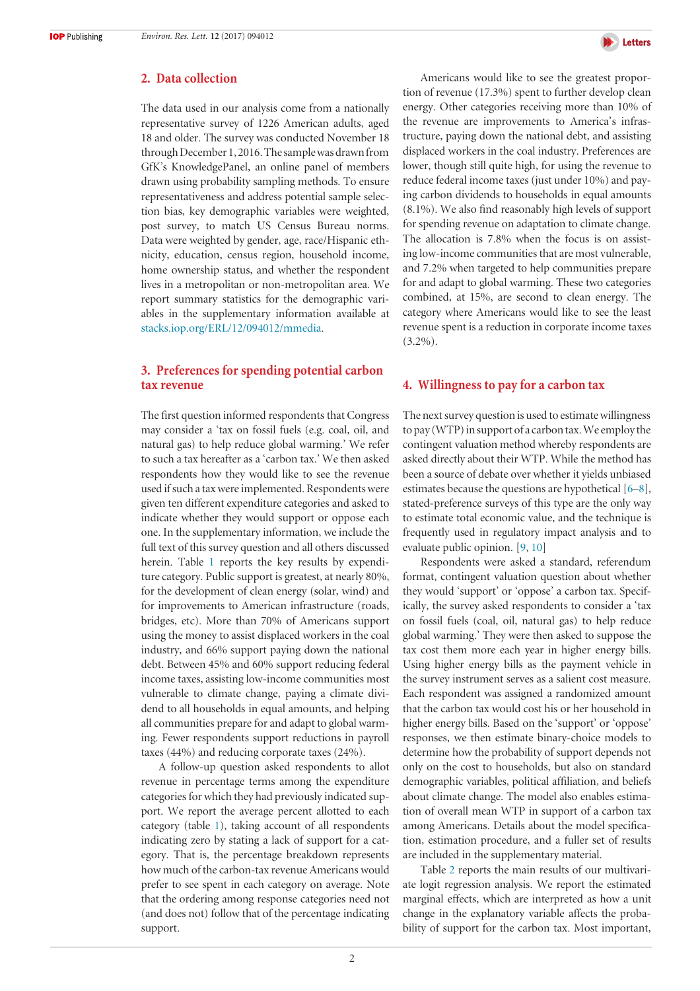## **2. Data collection**

The data used in our analysis come from a nationally representative survey of 1226 American adults, aged 18 and older. The survey was conducted November 18 through December 1, 2016. The sample was drawn from GfK's KnowledgePanel, an online panel of members drawn using probability sampling methods. To ensure representativeness and address potential sample selection bias, key demographic variables were weighted, post survey, to match US Census Bureau norms. Data were weighted by gender, age, race/Hispanic ethnicity, education, census region, household income, home ownership status, and whether the respondent lives in a metropolitan or non-metropolitan area. We report summary statistics for the demographic variables in the supplementary information available at [stacks.iop.org/ERL/12/094012/mmedia.](http://stacks.iop.org/ERL/12/094012/mmedia)

# **3. Preferences for spending potential carbon tax revenue**

The first question informed respondents that Congress may consider a 'tax on fossil fuels (e.g. coal, oil, and natural gas) to help reduce global warming.' We refer to such a tax hereafter as a 'carbon tax.' We then asked respondents how they would like to see the revenue used if such a tax were implemented. Respondents were given ten different expenditure categories and asked to indicate whether they would support or oppose each one. In the supplementary information, we include the full text of this survey question and all others discussed herein. Table 1 reports the key results by expenditure category. Public support is greatest, at nearly 80%, for the development of clean energy (solar, wind) and for improvements to American infrastructure (roads, bridges, etc). More than 70% of Americans support using the money to assist displaced workers in the coal industry, and 66% support paying down the national debt. Between 45% and 60% support reducing federal income taxes, assisting low-income communities most vulnerable to climate change, paying a climate dividend to all households in equal amounts, and helping all communities prepare for and adapt to global warming. Fewer respondents support reductions in payroll taxes (44%) and reducing corporate taxes (24%).

A follow-up question asked respondents to allot revenue in percentage terms among the expenditure categories for which they had previously indicated support. We report the average percent allotted to each category (table 1), taking account of all respondents indicating zero by stating a lack of support for a category. That is, the percentage breakdown represents how much of the carbon-tax revenue Americans would prefer to see spent in each category on average. Note that the ordering among response categories need not (and does not) follow that of the percentage indicating support.



Americans would like to see the greatest proportion of revenue (17.3%) spent to further develop clean energy. Other categories receiving more than 10% of the revenue are improvements to America's infrastructure, paying down the national debt, and assisting displaced workers in the coal industry. Preferences are lower, though still quite high, for using the revenue to reduce federal income taxes (just under 10%) and paying carbon dividends to households in equal amounts (8.1%). We also find reasonably high levels of support for spending revenue on adaptation to climate change. The allocation is 7.8% when the focus is on assisting low-income communities that are most vulnerable, and 7.2% when targeted to help communities prepare for and adapt to global warming. These two categories combined, at 15%, are second to clean energy. The category where Americans would like to see the least revenue spent is a reduction in corporate income taxes  $(3.2\%)$ .

### **4. Willingness to pay for a carbon tax**

The next survey question is used to estimate willingness to pay (WTP) in support of a carbon tax. We employ the contingent valuation method whereby respondents are asked directly about their WTP. While the method has been a source of debate over whether it yields unbiased estimates because the questions are hypothetical [6–8], stated-preference surveys of this type are the only way to estimate total economic value, and the technique is frequently used in regulatory impact analysis and to evaluate public opinion. [9, 10]

Respondents were asked a standard, referendum format, contingent valuation question about whether they would 'support' or 'oppose' a carbon tax. Specifically, the survey asked respondents to consider a 'tax on fossil fuels (coal, oil, natural gas) to help reduce global warming.' They were then asked to suppose the tax cost them more each year in higher energy bills. Using higher energy bills as the payment vehicle in the survey instrument serves as a salient cost measure. Each respondent was assigned a randomized amount that the carbon tax would cost his or her household in higher energy bills. Based on the 'support' or 'oppose' responses, we then estimate binary-choice models to determine how the probability of support depends not only on the cost to households, but also on standard demographic variables, political affiliation, and beliefs about climate change. The model also enables estimation of overall mean WTP in support of a carbon tax among Americans. Details about the model specification, estimation procedure, and a fuller set of results are included in the supplementary material.

Table 2 reports the main results of our multivariate logit regression analysis. We report the estimated marginal effects, which are interpreted as how a unit change in the explanatory variable affects the probability of support for the carbon tax. Most important,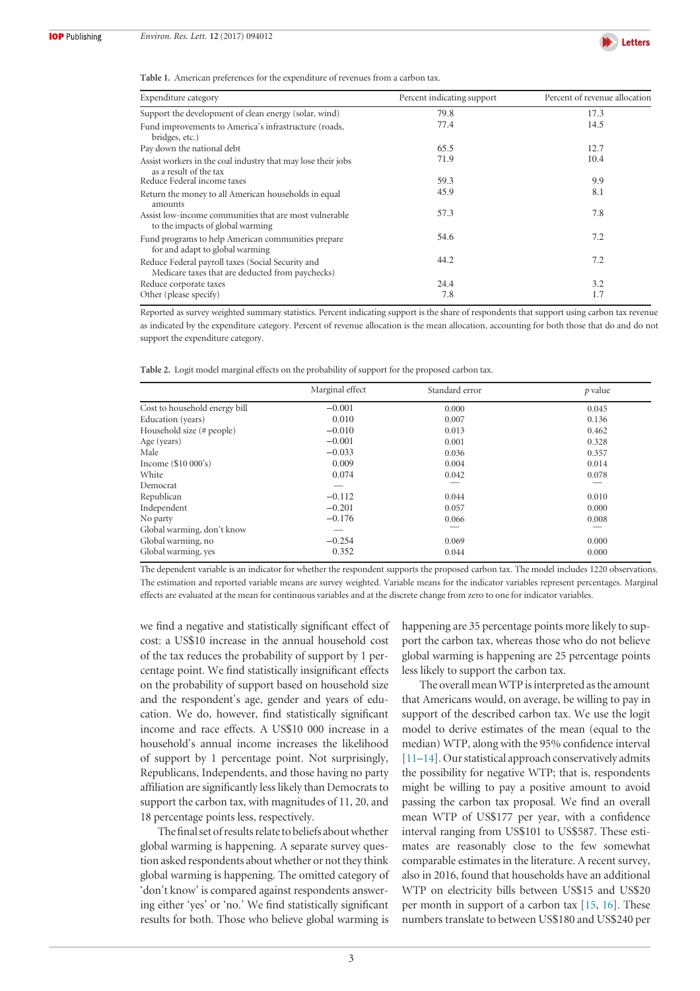

**Table 1.** American preferences for the expenditure of revenues from a carbon tax.

| Expenditure category                                                                                  | Percent indicating support | Percent of revenue allocation |
|-------------------------------------------------------------------------------------------------------|----------------------------|-------------------------------|
| Support the development of clean energy (solar, wind)                                                 | 79.8                       | 17.3                          |
| Fund improvements to America's infrastructure (roads,<br>bridges, etc.)                               | 77.4                       | 14.5                          |
| Pay down the national debt                                                                            | 65.5                       | 12.7                          |
| Assist workers in the coal industry that may lose their jobs<br>as a result of the tax                | 71.9                       | 10.4                          |
| Reduce Federal income taxes                                                                           | 59.3                       | 9.9                           |
| Return the money to all American households in equal<br>amounts                                       | 45.9                       | 8.1                           |
| Assist low-income communities that are most vulnerable<br>to the impacts of global warming            | 57.3                       | 7.8                           |
| Fund programs to help American communities prepare<br>for and adapt to global warming                 | 54.6                       | 7.2                           |
| Reduce Federal payroll taxes (Social Security and<br>Medicare taxes that are deducted from paychecks) | 44.2                       | 7.2                           |
| Reduce corporate taxes                                                                                | 24.4                       | 3.2                           |
| Other (please specify)                                                                                | 7.8                        | 1.7                           |

Reported as survey weighted summary statistics. Percent indicating support is the share of respondents that support using carbon tax revenue as indicated by the expenditure category. Percent of revenue allocation is the mean allocation, accounting for both those that do and do not support the expenditure category.

|  | Table 2. Logit model marginal effects on the probability of support for the proposed carbon tax. |  |  |  |
|--|--------------------------------------------------------------------------------------------------|--|--|--|
|  |                                                                                                  |  |  |  |

|                               | Marginal effect | Standard error | p value |
|-------------------------------|-----------------|----------------|---------|
| Cost to household energy bill | $-0.001$        | 0.000          | 0.045   |
| Education (years)             | 0.010           | 0.007          | 0.136   |
| Household size (# people)     | $-0.010$        | 0.013          | 0.462   |
| Age (years)                   | $-0.001$        | 0.001          | 0.328   |
| Male                          | $-0.033$        | 0.036          | 0.357   |
| Income $(\$10\ 000's)$        | 0.009           | 0.004          | 0.014   |
| White                         | 0.074           | 0.042          | 0.078   |
| Democrat                      |                 |                |         |
| Republican                    | $-0.112$        | 0.044          | 0.010   |
| Independent                   | $-0.201$        | 0.057          | 0.000   |
| No party                      | $-0.176$        | 0.066          | 0.008   |
| Global warming, don't know    |                 |                |         |
| Global warming, no            | $-0.254$        | 0.069          | 0.000   |
| Global warming, yes           | 0.352           | 0.044          | 0.000   |

The dependent variable is an indicator for whether the respondent supports the proposed carbon tax. The model includes 1220 observations. The estimation and reported variable means are survey weighted. Variable means for the indicator variables represent percentages. Marginal effects are evaluated at the mean for continuous variables and at the discrete change from zero to one for indicator variables.

we find a negative and statistically significant effect of cost: a US\$10 increase in the annual household cost of the tax reduces the probability of support by 1 percentage point. We find statistically insignificant effects on the probability of support based on household size and the respondent's age, gender and years of education. We do, however, find statistically significant income and race effects. A US\$10 000 increase in a household's annual income increases the likelihood of support by 1 percentage point. Not surprisingly, Republicans, Independents, and those having no party affiliation are significantly less likely than Democrats to support the carbon tax, with magnitudes of 11, 20, and 18 percentage points less, respectively.

The final set of results relate to beliefs about whether global warming is happening. A separate survey question asked respondents about whether or not they think global warming is happening. The omitted category of 'don't know' is compared against respondents answering either 'yes' or 'no.' We find statistically significant results for both. Those who believe global warming is

happening are 35 percentage points more likely to support the carbon tax, whereas those who do not believe global warming is happening are 25 percentage points less likely to support the carbon tax.

The overall mean WTP is interpreted as the amount that Americans would, on average, be willing to pay in support of the described carbon tax. We use the logit model to derive estimates of the mean (equal to the median) WTP, along with the 95% confidence interval [11–14]. Our statistical approach conservatively admits the possibility for negative WTP; that is, respondents might be willing to pay a positive amount to avoid passing the carbon tax proposal. We find an overall mean WTP of US\$177 per year, with a confidence interval ranging from US\$101 to US\$587. These estimates are reasonably close to the few somewhat comparable estimates in the literature. A recent survey, also in 2016, found that households have an additional WTP on electricity bills between US\$15 and US\$20 per month in support of a carbon tax [15, 16]. These numbers translate to between US\$180 and US\$240 per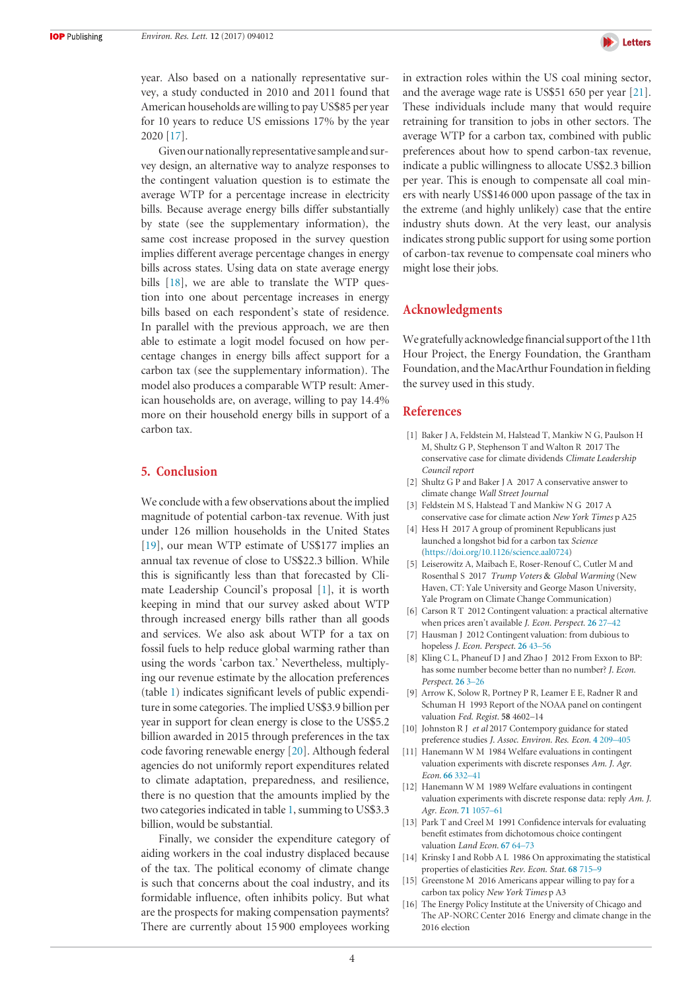

year. Also based on a nationally representative survey, a study conducted in 2010 and 2011 found that American households are willing to pay US\$85 per year for 10 years to reduce US emissions 17% by the year 2020 [17].

Given our nationally representative sample and survey design, an alternative way to analyze responses to the contingent valuation question is to estimate the average WTP for a percentage increase in electricity bills. Because average energy bills differ substantially by state (see the supplementary information), the same cost increase proposed in the survey question implies different average percentage changes in energy bills across states. Using data on state average energy bills [18], we are able to translate the WTP question into one about percentage increases in energy bills based on each respondent's state of residence. In parallel with the previous approach, we are then able to estimate a logit model focused on how percentage changes in energy bills affect support for a carbon tax (see the supplementary information). The model also produces a comparable WTP result: American households are, on average, willing to pay 14.4% more on their household energy bills in support of a carbon tax.

## **5. Conclusion**

We conclude with a few observations about the implied magnitude of potential carbon-tax revenue. With just under 126 million households in the United States [19], our mean WTP estimate of US\$177 implies an annual tax revenue of close to US\$22.3 billion. While this is significantly less than that forecasted by Climate Leadership Council's proposal [1], it is worth keeping in mind that our survey asked about WTP through increased energy bills rather than all goods and services. We also ask about WTP for a tax on fossil fuels to help reduce global warming rather than using the words 'carbon tax.' Nevertheless, multiplying our revenue estimate by the allocation preferences (table 1) indicates significant levels of public expenditure in some categories. The implied US\$3.9 billion per year in support for clean energy is close to the US\$5.2 billion awarded in 2015 through preferences in the tax code favoring renewable energy [20]. Although federal agencies do not uniformly report expenditures related to climate adaptation, preparedness, and resilience, there is no question that the amounts implied by the two categories indicated in table 1, summing to US\$3.3 billion, would be substantial.

Finally, we consider the expenditure category of aiding workers in the coal industry displaced because of the tax. The political economy of climate change is such that concerns about the coal industry, and its formidable influence, often inhibits policy. But what are the prospects for making compensation payments? There are currently about 15 900 employees working

in extraction roles within the US coal mining sector, and the average wage rate is US\$51 650 per year [21]. These individuals include many that would require retraining for transition to jobs in other sectors. The average WTP for a carbon tax, combined with public preferences about how to spend carbon-tax revenue, indicate a public willingness to allocate US\$2.3 billion per year. This is enough to compensate all coal miners with nearly US\$146 000 upon passage of the tax in the extreme (and highly unlikely) case that the entire industry shuts down. At the very least, our analysis indicates strong public support for using some portion of carbon-tax revenue to compensate coal miners who might lose their jobs.

## **Acknowledgments**

We gratefully acknowledge financial support ofthe 11th Hour Project, the Energy Foundation, the Grantham Foundation, and the MacArthur Foundation in fielding the survey used in this study.

#### **References**

- [1] Baker J A, Feldstein M, Halstead T, Mankiw N G, Paulson H M, Shultz G P, Stephenson T and Walton R 2017 The conservative case for climate dividends *Climate Leadership Council report*
- [2] Shultz G P and Baker J A 2017 A conservative answer to climate change *Wall Street Journal*
- [3] Feldstein M S, Halstead T and Mankiw N G 2017 A conservative case for climate action *New York Times* p A25
- [4] Hess H 2017 A group of prominent Republicans just launched a longshot bid for a carbon tax *Science* [\(https://doi.org/10.1126/science.aal0724\)](https://doi.org/10.1126/science.aal0724)
- [5] Leiserowitz A, Maibach E, Roser-Renouf C, Cutler M and Rosenthal S 2017 *Trump Voters* & *Global Warming* (New Haven, CT: Yale University and George Mason University, Yale Program on Climate Change Communication)
- [6] Carson R T 2012 Contingent valuation: a practical alternative when prices aren't available *J. Econ. Perspect.* **[26](https://doi.org/10.1257/jep.26.4.27)** [27–42](https://doi.org/10.1257/jep.26.4.27)
- [7] Hausman J 2012 Contingent valuation: from dubious to hopeless *J. Econ. Perspect.* **[26](https://doi.org/10.1257/jep.26.4.43)** [43–56](https://doi.org/10.1257/jep.26.4.43)
- [8] Kling C L, Phaneuf D J and Zhao J 2012 From Exxon to BP: has some number become better than no number? *J. Econ. Perspect.* **[26](https://doi.org/10.1257/jep.26.4.3)** [3–26](https://doi.org/10.1257/jep.26.4.3)
- [9] Arrow K, Solow R, Portney P R, Leamer E E, Radner R and Schuman H 1993 Report of the NOAA panel on contingent valuation *Fed. Regist.* **58** 4602–14
- [10] Johnston R J *et al* 2017 Contempory guidance for stated preference studies *J. Assoc. Environ. Res. Econ.* **[4](https://doi.org/10.1086/691697)** [209–405](https://doi.org/10.1086/691697)
- [11] Hanemann W M 1984 Welfare evaluations in contingent valuation experiments with discrete responses *Am. J. Agr. Econ.* **[66](https://doi.org/10.2307/1240800)** [332–41](https://doi.org/10.2307/1240800)
- [12] Hanemann W M 1989 Welfare evaluations in contingent valuation experiments with discrete response data: reply *Am. J. Agr. Econ.* **[71](https://doi.org/10.2307/1242685)** [1057–61](https://doi.org/10.2307/1242685)
- [13] Park T and Creel M 1991 Confidence intervals for evaluating benefit estimates from dichotomous choice contingent valuation *Land Econ.* **[67](https://doi.org/10.2307/3146486)** [64–73](https://doi.org/10.2307/3146486)
- [14] Krinsky I and Robb A L 1986 On approximating the statistical properties of elasticities *Rev. Econ. Stat.* **[68](https://doi.org/10.2307/1924536)** [715–9](https://doi.org/10.2307/1924536)
- [15] Greenstone M 2016 Americans appear willing to pay for a carbon tax policy *New York Times* p A3
- [16] The Energy Policy Institute at the University of Chicago and The AP-NORC Center 2016 Energy and climate change in the 2016 election